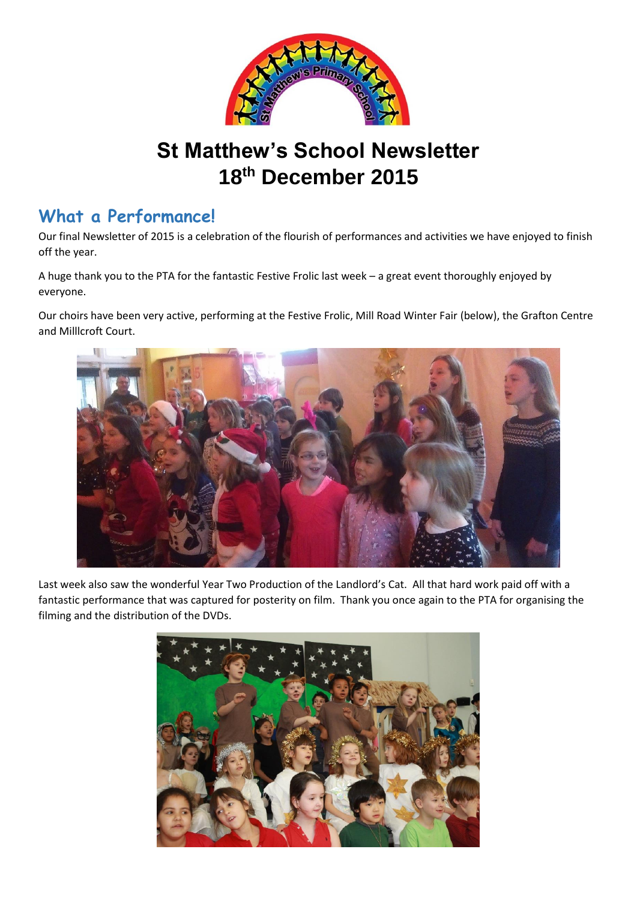

# **St Matthew's School Newsletter 18th December 2015**

### **What a Performance!**

Our final Newsletter of 2015 is a celebration of the flourish of performances and activities we have enjoyed to finish off the year.

A huge thank you to the PTA for the fantastic Festive Frolic last week – a great event thoroughly enjoyed by everyone.

Our choirs have been very active, performing at the Festive Frolic, Mill Road Winter Fair (below), the Grafton Centre and Milllcroft Court.



Last week also saw the wonderful Year Two Production of the Landlord's Cat. All that hard work paid off with a fantastic performance that was captured for posterity on film. Thank you once again to the PTA for organising the filming and the distribution of the DVDs.